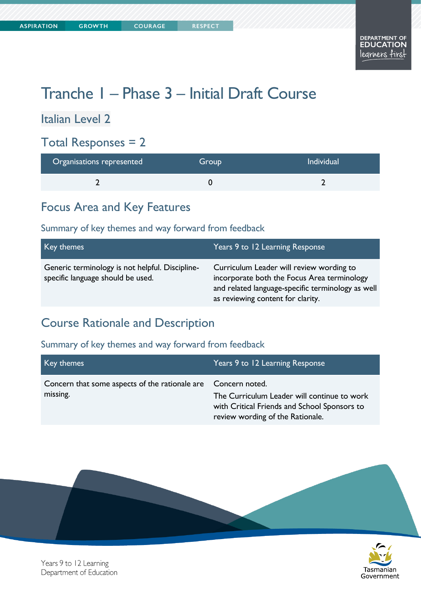# Tranche 1 – Phase 3 – Initial Draft Course

Italian Level 2

#### Total Responses = 2

| Organisations represented | Group | <b>Individual</b> |
|---------------------------|-------|-------------------|
|                           |       |                   |

#### Focus Area and Key Features

#### Summary of key themes and way forward from feedback

| Key themes                                                                           | Years 9 to 12 Learning Response                                                                                                                                                   |
|--------------------------------------------------------------------------------------|-----------------------------------------------------------------------------------------------------------------------------------------------------------------------------------|
| Generic terminology is not helpful. Discipline-<br>specific language should be used. | Curriculum Leader will review wording to<br>incorporate both the Focus Area terminology<br>and related language-specific terminology as well<br>as reviewing content for clarity. |

### Course Rationale and Description

#### Summary of key themes and way forward from feedback

| Key themes                                                                | Years 9 to 12 Learning Response                                                                                                 |
|---------------------------------------------------------------------------|---------------------------------------------------------------------------------------------------------------------------------|
| Concern that some aspects of the rationale are Concern noted.<br>missing. | The Curriculum Leader will continue to work<br>with Critical Friends and School Sponsors to<br>review wording of the Rationale. |





Years 9 to 12 Learning Department of Education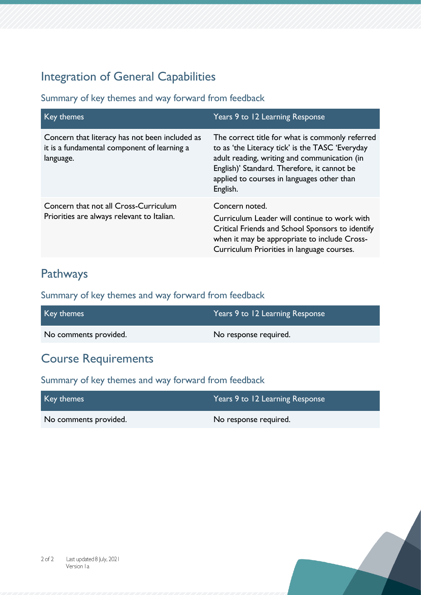### Integration of General Capabilities

Summary of key themes and way forward from feedback

| Key themes                                                                                                 | Years 9 to 12 Learning Response                                                                                                                                                                                                                             |
|------------------------------------------------------------------------------------------------------------|-------------------------------------------------------------------------------------------------------------------------------------------------------------------------------------------------------------------------------------------------------------|
| Concern that literacy has not been included as<br>it is a fundamental component of learning a<br>language. | The correct title for what is commonly referred<br>to as 'the Literacy tick' is the TASC 'Everyday<br>adult reading, writing and communication (in<br>English)' Standard. Therefore, it cannot be<br>applied to courses in languages other than<br>English. |
| Concern that not all Cross-Curriculum<br>Priorities are always relevant to Italian.                        | Concern noted.                                                                                                                                                                                                                                              |
|                                                                                                            | Curriculum Leader will continue to work with<br>Critical Friends and School Sponsors to identify<br>when it may be appropriate to include Cross-<br>Curriculum Priorities in language courses.                                                              |

### Pathways

Summary of key themes and way forward from feedback

| Key themes            | Years 9 to 12 Learning Response |
|-----------------------|---------------------------------|
| No comments provided. | No response required.           |

# Course Requirements

| Key themes            | Years 9 to 12 Learning Response |
|-----------------------|---------------------------------|
| No comments provided. | No response required.           |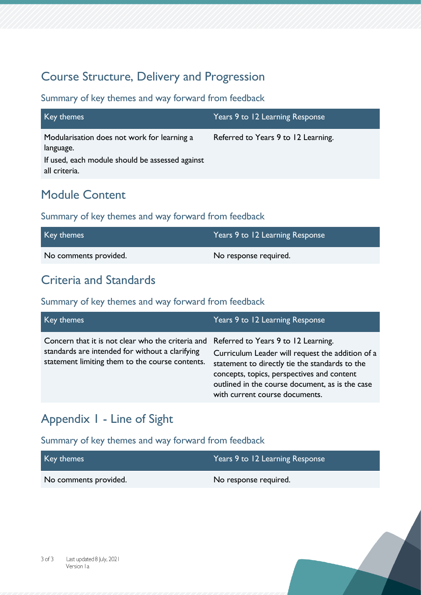### Course Structure, Delivery and Progression

#### Summary of key themes and way forward from feedback

| Key themes                                                                                                                   | Years 9 to 12 Learning Response     |
|------------------------------------------------------------------------------------------------------------------------------|-------------------------------------|
| Modularisation does not work for learning a<br>language.<br>If used, each module should be assessed against<br>all criteria. | Referred to Years 9 to 12 Learning. |

### Module Content

#### Summary of key themes and way forward from feedback

| Key themes            | Years 9 to 12 Learning Response |
|-----------------------|---------------------------------|
| No comments provided. | No response required.           |

### Criteria and Standards

#### Summary of key themes and way forward from feedback

| Key themes                                                                                                                                                                                  | Years 9 to 12 Learning Response                                                                                                                                                                                                       |
|---------------------------------------------------------------------------------------------------------------------------------------------------------------------------------------------|---------------------------------------------------------------------------------------------------------------------------------------------------------------------------------------------------------------------------------------|
| Concern that it is not clear who the criteria and Referred to Years 9 to 12 Learning.<br>standards are intended for without a clarifying<br>statement limiting them to the course contents. | Curriculum Leader will request the addition of a<br>statement to directly tie the standards to the<br>concepts, topics, perspectives and content<br>outlined in the course document, as is the case<br>with current course documents. |

# Appendix 1 - Line of Sight

| Key themes            | Years 9 to 12 Learning Response |
|-----------------------|---------------------------------|
| No comments provided. | No response required.           |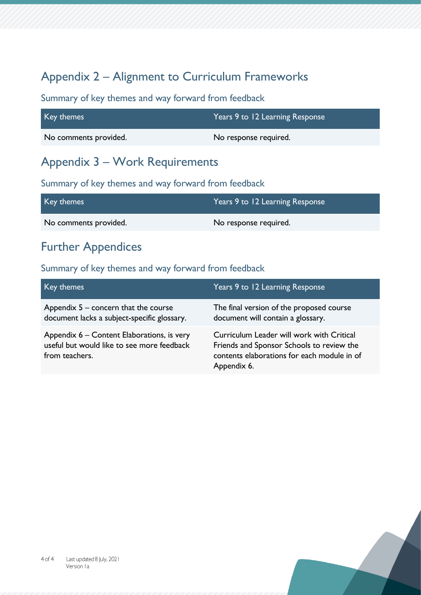# Appendix 2 – Alignment to Curriculum Frameworks

Summary of key themes and way forward from feedback

| Key themes            | Years 9 to 12 Learning Response |
|-----------------------|---------------------------------|
| No comments provided. | No response required.           |

### Appendix 3 – Work Requirements

Summary of key themes and way forward from feedback

| Key themes            | Years 9 to 12 Learning Response |
|-----------------------|---------------------------------|
| No comments provided. | No response required.           |

# Further Appendices

| Key themes                                                                                                 | Years 9 to 12 Learning Response                                                                                                                      |
|------------------------------------------------------------------------------------------------------------|------------------------------------------------------------------------------------------------------------------------------------------------------|
| Appendix $5$ – concern that the course<br>document lacks a subject-specific glossary.                      | The final version of the proposed course<br>document will contain a glossary.                                                                        |
| Appendix 6 – Content Elaborations, is very<br>useful but would like to see more feedback<br>from teachers. | Curriculum Leader will work with Critical<br>Friends and Sponsor Schools to review the<br>contents elaborations for each module in of<br>Appendix 6. |